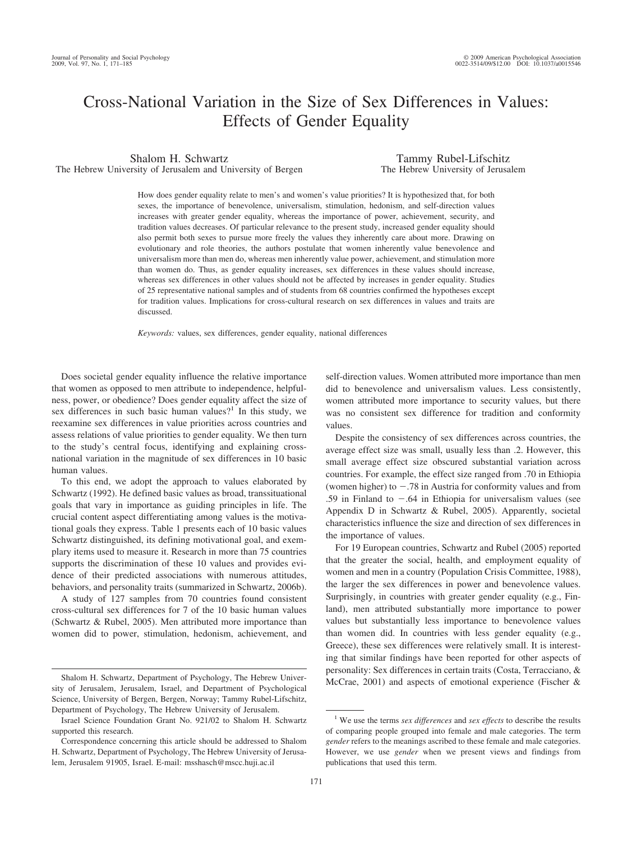# Cross-National Variation in the Size of Sex Differences in Values: Effects of Gender Equality

Shalom H. Schwartz The Hebrew University of Jerusalem and University of Bergen

Tammy Rubel-Lifschitz The Hebrew University of Jerusalem

How does gender equality relate to men's and women's value priorities? It is hypothesized that, for both sexes, the importance of benevolence, universalism, stimulation, hedonism, and self-direction values increases with greater gender equality, whereas the importance of power, achievement, security, and tradition values decreases. Of particular relevance to the present study, increased gender equality should also permit both sexes to pursue more freely the values they inherently care about more. Drawing on evolutionary and role theories, the authors postulate that women inherently value benevolence and universalism more than men do, whereas men inherently value power, achievement, and stimulation more than women do. Thus, as gender equality increases, sex differences in these values should increase, whereas sex differences in other values should not be affected by increases in gender equality. Studies of 25 representative national samples and of students from 68 countries confirmed the hypotheses except for tradition values. Implications for cross-cultural research on sex differences in values and traits are discussed.

*Keywords:* values, sex differences, gender equality, national differences

Does societal gender equality influence the relative importance that women as opposed to men attribute to independence, helpfulness, power, or obedience? Does gender equality affect the size of sex differences in such basic human values?<sup>1</sup> In this study, we reexamine sex differences in value priorities across countries and assess relations of value priorities to gender equality. We then turn to the study's central focus, identifying and explaining crossnational variation in the magnitude of sex differences in 10 basic human values.

To this end, we adopt the approach to values elaborated by Schwartz (1992). He defined basic values as broad, transsituational goals that vary in importance as guiding principles in life. The crucial content aspect differentiating among values is the motivational goals they express. Table 1 presents each of 10 basic values Schwartz distinguished, its defining motivational goal, and exemplary items used to measure it. Research in more than 75 countries supports the discrimination of these 10 values and provides evidence of their predicted associations with numerous attitudes, behaviors, and personality traits (summarized in Schwartz, 2006b).

A study of 127 samples from 70 countries found consistent cross-cultural sex differences for 7 of the 10 basic human values (Schwartz & Rubel, 2005). Men attributed more importance than women did to power, stimulation, hedonism, achievement, and self-direction values. Women attributed more importance than men did to benevolence and universalism values. Less consistently, women attributed more importance to security values, but there was no consistent sex difference for tradition and conformity values.

Despite the consistency of sex differences across countries, the average effect size was small, usually less than .2. However, this small average effect size obscured substantial variation across countries. For example, the effect size ranged from .70 in Ethiopia (women higher) to  $-.78$  in Austria for conformity values and from .59 in Finland to  $-.64$  in Ethiopia for universalism values (see Appendix D in Schwartz & Rubel, 2005). Apparently, societal characteristics influence the size and direction of sex differences in the importance of values.

For 19 European countries, Schwartz and Rubel (2005) reported that the greater the social, health, and employment equality of women and men in a country (Population Crisis Committee, 1988), the larger the sex differences in power and benevolence values. Surprisingly, in countries with greater gender equality (e.g., Finland), men attributed substantially more importance to power values but substantially less importance to benevolence values than women did. In countries with less gender equality (e.g., Greece), these sex differences were relatively small. It is interesting that similar findings have been reported for other aspects of personality: Sex differences in certain traits (Costa, Terracciano, & McCrae, 2001) and aspects of emotional experience (Fischer &

Shalom H. Schwartz, Department of Psychology, The Hebrew University of Jerusalem, Jerusalem, Israel, and Department of Psychological Science, University of Bergen, Bergen, Norway; Tammy Rubel-Lifschitz, Department of Psychology, The Hebrew University of Jerusalem.

Israel Science Foundation Grant No. 921/02 to Shalom H. Schwartz supported this research.

Correspondence concerning this article should be addressed to Shalom H. Schwartz, Department of Psychology, The Hebrew University of Jerusalem, Jerusalem 91905, Israel. E-mail: msshasch@mscc.huji.ac.il

<sup>1</sup> We use the terms *sex differences* and *sex effects* to describe the results of comparing people grouped into female and male categories. The term *gender* refers to the meanings ascribed to these female and male categories. However, we use *gender* when we present views and findings from publications that used this term.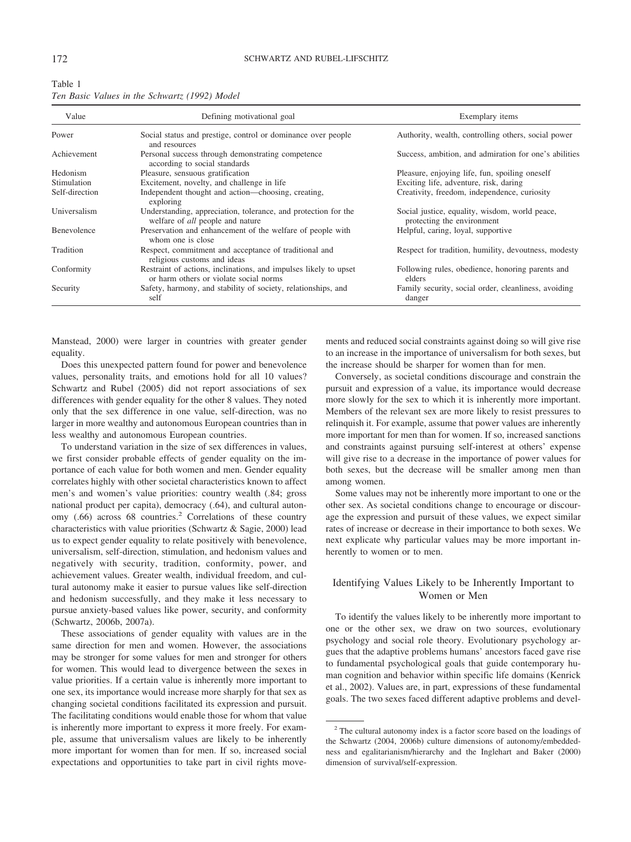| Table 1                                       |  |  |  |
|-----------------------------------------------|--|--|--|
| Ten Basic Values in the Schwartz (1992) Model |  |  |  |

| Value              | Defining motivational goal                                                                                 | Exemplary items                                                              |
|--------------------|------------------------------------------------------------------------------------------------------------|------------------------------------------------------------------------------|
| Power              | Social status and prestige, control or dominance over people<br>and resources                              | Authority, wealth, controlling others, social power                          |
| Achievement        | Personal success through demonstrating competence<br>according to social standards                         | Success, ambition, and admiration for one's abilities                        |
| Hedonism           | Pleasure, sensuous gratification                                                                           | Pleasure, enjoying life, fun, spoiling oneself                               |
| Stimulation        | Excitement, novelty, and challenge in life                                                                 | Exciting life, adventure, risk, daring                                       |
| Self-direction     | Independent thought and action—choosing, creating,<br>exploring                                            | Creativity, freedom, independence, curiosity                                 |
| Universalism       | Understanding, appreciation, tolerance, and protection for the<br>welfare of <i>all</i> people and nature  | Social justice, equality, wisdom, world peace,<br>protecting the environment |
| <b>Benevolence</b> | Preservation and enhancement of the welfare of people with<br>whom one is close                            | Helpful, caring, loyal, supportive                                           |
| Tradition          | Respect, commitment and acceptance of traditional and<br>religious customs and ideas                       | Respect for tradition, humility, devoutness, modesty                         |
| Conformity         | Restraint of actions, inclinations, and impulses likely to upset<br>or harm others or violate social norms | Following rules, obedience, honoring parents and<br>elders                   |
| Security           | Safety, harmony, and stability of society, relationships, and<br>self                                      | Family security, social order, cleanliness, avoiding<br>danger               |

Manstead, 2000) were larger in countries with greater gender equality.

Does this unexpected pattern found for power and benevolence values, personality traits, and emotions hold for all 10 values? Schwartz and Rubel (2005) did not report associations of sex differences with gender equality for the other 8 values. They noted only that the sex difference in one value, self-direction, was no larger in more wealthy and autonomous European countries than in less wealthy and autonomous European countries.

To understand variation in the size of sex differences in values, we first consider probable effects of gender equality on the importance of each value for both women and men. Gender equality correlates highly with other societal characteristics known to affect men's and women's value priorities: country wealth (.84; gross national product per capita), democracy (.64), and cultural autonomy (.66) across 68 countries.<sup>2</sup> Correlations of these country characteristics with value priorities (Schwartz & Sagie, 2000) lead us to expect gender equality to relate positively with benevolence, universalism, self-direction, stimulation, and hedonism values and negatively with security, tradition, conformity, power, and achievement values. Greater wealth, individual freedom, and cultural autonomy make it easier to pursue values like self-direction and hedonism successfully, and they make it less necessary to pursue anxiety-based values like power, security, and conformity (Schwartz, 2006b, 2007a).

These associations of gender equality with values are in the same direction for men and women. However, the associations may be stronger for some values for men and stronger for others for women. This would lead to divergence between the sexes in value priorities. If a certain value is inherently more important to one sex, its importance would increase more sharply for that sex as changing societal conditions facilitated its expression and pursuit. The facilitating conditions would enable those for whom that value is inherently more important to express it more freely. For example, assume that universalism values are likely to be inherently more important for women than for men. If so, increased social expectations and opportunities to take part in civil rights movements and reduced social constraints against doing so will give rise to an increase in the importance of universalism for both sexes, but the increase should be sharper for women than for men.

Conversely, as societal conditions discourage and constrain the pursuit and expression of a value, its importance would decrease more slowly for the sex to which it is inherently more important. Members of the relevant sex are more likely to resist pressures to relinquish it. For example, assume that power values are inherently more important for men than for women. If so, increased sanctions and constraints against pursuing self-interest at others' expense will give rise to a decrease in the importance of power values for both sexes, but the decrease will be smaller among men than among women.

Some values may not be inherently more important to one or the other sex. As societal conditions change to encourage or discourage the expression and pursuit of these values, we expect similar rates of increase or decrease in their importance to both sexes. We next explicate why particular values may be more important inherently to women or to men.

### Identifying Values Likely to be Inherently Important to Women or Men

To identify the values likely to be inherently more important to one or the other sex, we draw on two sources, evolutionary psychology and social role theory. Evolutionary psychology argues that the adaptive problems humans' ancestors faced gave rise to fundamental psychological goals that guide contemporary human cognition and behavior within specific life domains (Kenrick et al., 2002). Values are, in part, expressions of these fundamental goals. The two sexes faced different adaptive problems and devel-

<sup>2</sup> The cultural autonomy index is a factor score based on the loadings of the Schwartz (2004, 2006b) culture dimensions of autonomy/embeddedness and egalitarianism/hierarchy and the Inglehart and Baker (2000) dimension of survival/self-expression.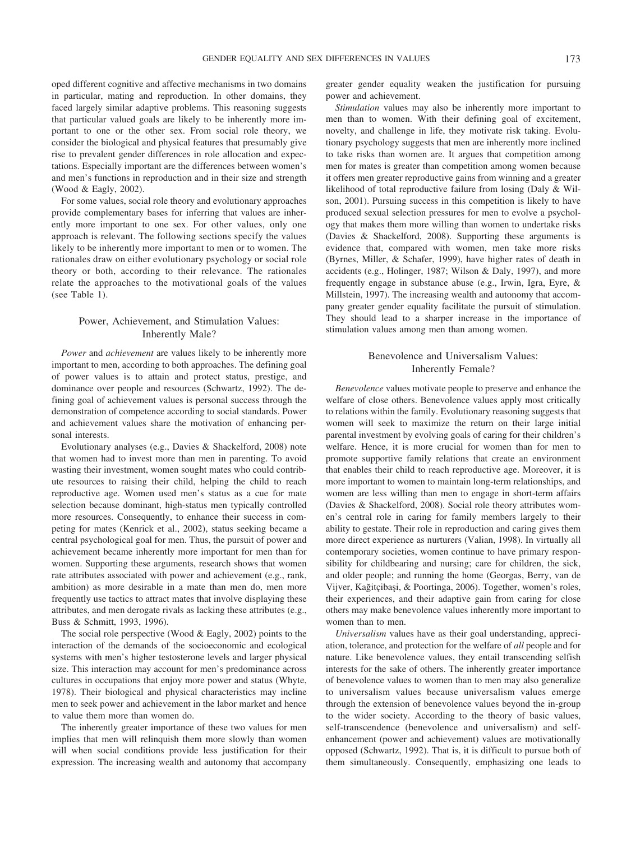oped different cognitive and affective mechanisms in two domains in particular, mating and reproduction. In other domains, they faced largely similar adaptive problems. This reasoning suggests that particular valued goals are likely to be inherently more important to one or the other sex. From social role theory, we consider the biological and physical features that presumably give rise to prevalent gender differences in role allocation and expectations. Especially important are the differences between women's and men's functions in reproduction and in their size and strength (Wood & Eagly, 2002).

For some values, social role theory and evolutionary approaches provide complementary bases for inferring that values are inherently more important to one sex. For other values, only one approach is relevant. The following sections specify the values likely to be inherently more important to men or to women. The rationales draw on either evolutionary psychology or social role theory or both, according to their relevance. The rationales relate the approaches to the motivational goals of the values (see Table 1).

### Power, Achievement, and Stimulation Values: Inherently Male?

*Power* and *achievement* are values likely to be inherently more important to men, according to both approaches. The defining goal of power values is to attain and protect status, prestige, and dominance over people and resources (Schwartz, 1992). The defining goal of achievement values is personal success through the demonstration of competence according to social standards. Power and achievement values share the motivation of enhancing personal interests.

Evolutionary analyses (e.g., Davies & Shackelford, 2008) note that women had to invest more than men in parenting. To avoid wasting their investment, women sought mates who could contribute resources to raising their child, helping the child to reach reproductive age. Women used men's status as a cue for mate selection because dominant, high-status men typically controlled more resources. Consequently, to enhance their success in competing for mates (Kenrick et al., 2002), status seeking became a central psychological goal for men. Thus, the pursuit of power and achievement became inherently more important for men than for women. Supporting these arguments, research shows that women rate attributes associated with power and achievement (e.g., rank, ambition) as more desirable in a mate than men do, men more frequently use tactics to attract mates that involve displaying these attributes, and men derogate rivals as lacking these attributes (e.g., Buss & Schmitt, 1993, 1996).

The social role perspective (Wood  $&$  Eagly, 2002) points to the interaction of the demands of the socioeconomic and ecological systems with men's higher testosterone levels and larger physical size. This interaction may account for men's predominance across cultures in occupations that enjoy more power and status (Whyte, 1978). Their biological and physical characteristics may incline men to seek power and achievement in the labor market and hence to value them more than women do.

The inherently greater importance of these two values for men implies that men will relinquish them more slowly than women will when social conditions provide less justification for their expression. The increasing wealth and autonomy that accompany greater gender equality weaken the justification for pursuing power and achievement.

*Stimulation* values may also be inherently more important to men than to women. With their defining goal of excitement, novelty, and challenge in life, they motivate risk taking. Evolutionary psychology suggests that men are inherently more inclined to take risks than women are. It argues that competition among men for mates is greater than competition among women because it offers men greater reproductive gains from winning and a greater likelihood of total reproductive failure from losing (Daly & Wilson, 2001). Pursuing success in this competition is likely to have produced sexual selection pressures for men to evolve a psychology that makes them more willing than women to undertake risks (Davies & Shackelford, 2008). Supporting these arguments is evidence that, compared with women, men take more risks (Byrnes, Miller, & Schafer, 1999), have higher rates of death in accidents (e.g., Holinger, 1987; Wilson & Daly, 1997), and more frequently engage in substance abuse (e.g., Irwin, Igra, Eyre, & Millstein, 1997). The increasing wealth and autonomy that accompany greater gender equality facilitate the pursuit of stimulation. They should lead to a sharper increase in the importance of stimulation values among men than among women.

### Benevolence and Universalism Values: Inherently Female?

*Benevolence* values motivate people to preserve and enhance the welfare of close others. Benevolence values apply most critically to relations within the family. Evolutionary reasoning suggests that women will seek to maximize the return on their large initial parental investment by evolving goals of caring for their children's welfare. Hence, it is more crucial for women than for men to promote supportive family relations that create an environment that enables their child to reach reproductive age. Moreover, it is more important to women to maintain long-term relationships, and women are less willing than men to engage in short-term affairs (Davies & Shackelford, 2008). Social role theory attributes women's central role in caring for family members largely to their ability to gestate. Their role in reproduction and caring gives them more direct experience as nurturers (Valian, 1998). In virtually all contemporary societies, women continue to have primary responsibility for childbearing and nursing; care for children, the sick, and older people; and running the home (Georgas, Berry, van de Vijver, Kağitçibaşi, & Poortinga, 2006). Together, women's roles, their experiences, and their adaptive gain from caring for close others may make benevolence values inherently more important to women than to men.

*Universalism* values have as their goal understanding, appreciation, tolerance, and protection for the welfare of *all* people and for nature. Like benevolence values, they entail transcending selfish interests for the sake of others. The inherently greater importance of benevolence values to women than to men may also generalize to universalism values because universalism values emerge through the extension of benevolence values beyond the in-group to the wider society. According to the theory of basic values, self-transcendence (benevolence and universalism) and selfenhancement (power and achievement) values are motivationally opposed (Schwartz, 1992). That is, it is difficult to pursue both of them simultaneously. Consequently, emphasizing one leads to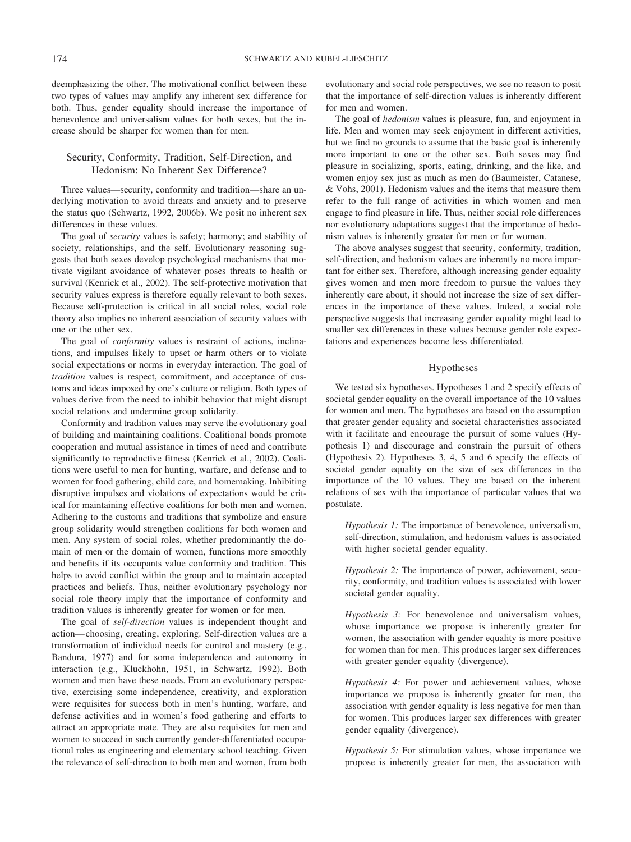deemphasizing the other. The motivational conflict between these two types of values may amplify any inherent sex difference for both. Thus, gender equality should increase the importance of benevolence and universalism values for both sexes, but the increase should be sharper for women than for men.

### Security, Conformity, Tradition, Self-Direction, and Hedonism: No Inherent Sex Difference?

Three values—security, conformity and tradition—share an underlying motivation to avoid threats and anxiety and to preserve the status quo (Schwartz, 1992, 2006b). We posit no inherent sex differences in these values.

The goal of *security* values is safety; harmony; and stability of society, relationships, and the self. Evolutionary reasoning suggests that both sexes develop psychological mechanisms that motivate vigilant avoidance of whatever poses threats to health or survival (Kenrick et al., 2002). The self-protective motivation that security values express is therefore equally relevant to both sexes. Because self-protection is critical in all social roles, social role theory also implies no inherent association of security values with one or the other sex.

The goal of *conformity* values is restraint of actions, inclinations, and impulses likely to upset or harm others or to violate social expectations or norms in everyday interaction. The goal of *tradition* values is respect, commitment, and acceptance of customs and ideas imposed by one's culture or religion. Both types of values derive from the need to inhibit behavior that might disrupt social relations and undermine group solidarity.

Conformity and tradition values may serve the evolutionary goal of building and maintaining coalitions. Coalitional bonds promote cooperation and mutual assistance in times of need and contribute significantly to reproductive fitness (Kenrick et al., 2002). Coalitions were useful to men for hunting, warfare, and defense and to women for food gathering, child care, and homemaking. Inhibiting disruptive impulses and violations of expectations would be critical for maintaining effective coalitions for both men and women. Adhering to the customs and traditions that symbolize and ensure group solidarity would strengthen coalitions for both women and men. Any system of social roles, whether predominantly the domain of men or the domain of women, functions more smoothly and benefits if its occupants value conformity and tradition. This helps to avoid conflict within the group and to maintain accepted practices and beliefs. Thus, neither evolutionary psychology nor social role theory imply that the importance of conformity and tradition values is inherently greater for women or for men.

The goal of *self-direction* values is independent thought and action—choosing, creating, exploring. Self-direction values are a transformation of individual needs for control and mastery (e.g., Bandura, 1977) and for some independence and autonomy in interaction (e.g., Kluckhohn, 1951, in Schwartz, 1992). Both women and men have these needs. From an evolutionary perspective, exercising some independence, creativity, and exploration were requisites for success both in men's hunting, warfare, and defense activities and in women's food gathering and efforts to attract an appropriate mate. They are also requisites for men and women to succeed in such currently gender-differentiated occupational roles as engineering and elementary school teaching. Given the relevance of self-direction to both men and women, from both

evolutionary and social role perspectives, we see no reason to posit that the importance of self-direction values is inherently different for men and women.

The goal of *hedonism* values is pleasure, fun, and enjoyment in life. Men and women may seek enjoyment in different activities, but we find no grounds to assume that the basic goal is inherently more important to one or the other sex. Both sexes may find pleasure in socializing, sports, eating, drinking, and the like, and women enjoy sex just as much as men do (Baumeister, Catanese, & Vohs, 2001). Hedonism values and the items that measure them refer to the full range of activities in which women and men engage to find pleasure in life. Thus, neither social role differences nor evolutionary adaptations suggest that the importance of hedonism values is inherently greater for men or for women.

The above analyses suggest that security, conformity, tradition, self-direction, and hedonism values are inherently no more important for either sex. Therefore, although increasing gender equality gives women and men more freedom to pursue the values they inherently care about, it should not increase the size of sex differences in the importance of these values. Indeed, a social role perspective suggests that increasing gender equality might lead to smaller sex differences in these values because gender role expectations and experiences become less differentiated.

### Hypotheses

We tested six hypotheses. Hypotheses 1 and 2 specify effects of societal gender equality on the overall importance of the 10 values for women and men. The hypotheses are based on the assumption that greater gender equality and societal characteristics associated with it facilitate and encourage the pursuit of some values (Hypothesis 1) and discourage and constrain the pursuit of others (Hypothesis 2). Hypotheses 3, 4, 5 and 6 specify the effects of societal gender equality on the size of sex differences in the importance of the 10 values. They are based on the inherent relations of sex with the importance of particular values that we postulate.

*Hypothesis 1:* The importance of benevolence, universalism, self-direction, stimulation, and hedonism values is associated with higher societal gender equality.

*Hypothesis 2:* The importance of power, achievement, security, conformity, and tradition values is associated with lower societal gender equality.

*Hypothesis 3:* For benevolence and universalism values, whose importance we propose is inherently greater for women, the association with gender equality is more positive for women than for men. This produces larger sex differences with greater gender equality (divergence).

*Hypothesis 4:* For power and achievement values, whose importance we propose is inherently greater for men, the association with gender equality is less negative for men than for women. This produces larger sex differences with greater gender equality (divergence).

*Hypothesis 5:* For stimulation values, whose importance we propose is inherently greater for men, the association with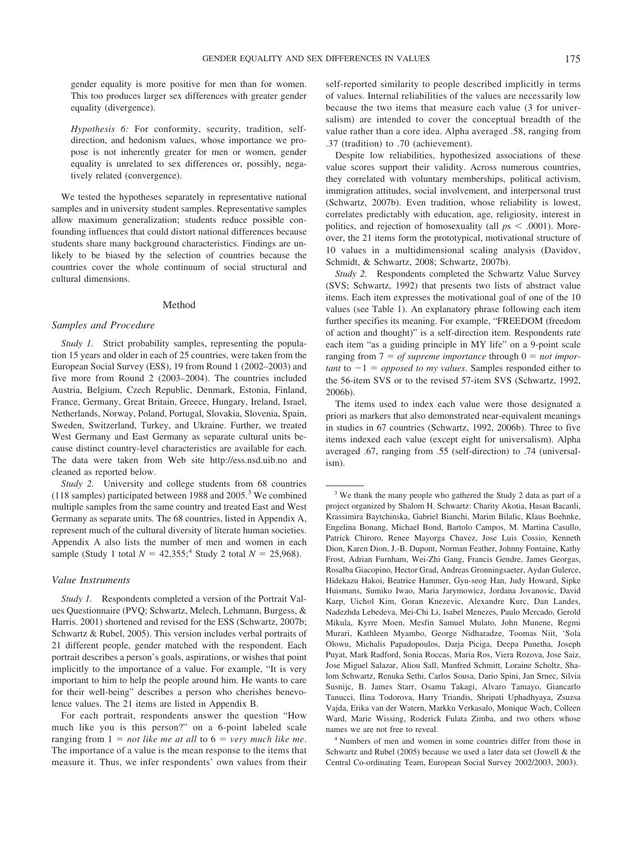gender equality is more positive for men than for women. This too produces larger sex differences with greater gender equality (divergence).

*Hypothesis 6:* For conformity, security, tradition, selfdirection, and hedonism values, whose importance we propose is not inherently greater for men or women, gender equality is unrelated to sex differences or, possibly, negatively related (convergence).

We tested the hypotheses separately in representative national samples and in university student samples. Representative samples allow maximum generalization; students reduce possible confounding influences that could distort national differences because students share many background characteristics. Findings are unlikely to be biased by the selection of countries because the countries cover the whole continuum of social structural and cultural dimensions.

### Method

#### *Samples and Procedure*

*Study 1.* Strict probability samples, representing the population 15 years and older in each of 25 countries, were taken from the European Social Survey (ESS), 19 from Round 1 (2002–2003) and five more from Round 2 (2003–2004). The countries included Austria, Belgium, Czech Republic, Denmark, Estonia, Finland, France, Germany, Great Britain, Greece, Hungary, Ireland, Israel, Netherlands, Norway, Poland, Portugal, Slovakia, Slovenia, Spain, Sweden, Switzerland, Turkey, and Ukraine. Further, we treated West Germany and East Germany as separate cultural units because distinct country-level characteristics are available for each. The data were taken from Web site http://ess.nsd.uib.no and cleaned as reported below.

*Study 2.* University and college students from 68 countries (118 samples) participated between 1988 and 2005.3 We combined multiple samples from the same country and treated East and West Germany as separate units. The 68 countries, listed in Appendix A, represent much of the cultural diversity of literate human societies. Appendix A also lists the number of men and women in each sample (Study 1 total  $N = 42,355$ ;<sup>4</sup> Study 2 total  $N = 25,968$ ).

#### *Value Instruments*

*Study 1.* Respondents completed a version of the Portrait Values Questionnaire (PVQ; Schwartz, Melech, Lehmann, Burgess, & Harris. 2001) shortened and revised for the ESS (Schwartz, 2007b; Schwartz & Rubel, 2005). This version includes verbal portraits of 21 different people, gender matched with the respondent. Each portrait describes a person's goals, aspirations, or wishes that point implicitly to the importance of a value. For example, "It is very important to him to help the people around him. He wants to care for their well-being" describes a person who cherishes benevolence values. The 21 items are listed in Appendix B.

For each portrait, respondents answer the question "How much like you is this person?" on a 6-point labeled scale ranging from  $1 = not$  *like me at all* to  $6 = very$  *much like me.* The importance of a value is the mean response to the items that measure it. Thus, we infer respondents' own values from their self-reported similarity to people described implicitly in terms of values. Internal reliabilities of the values are necessarily low because the two items that measure each value (3 for universalism) are intended to cover the conceptual breadth of the value rather than a core idea. Alpha averaged .58, ranging from .37 (tradition) to .70 (achievement).

Despite low reliabilities, hypothesized associations of these value scores support their validity. Across numerous countries, they correlated with voluntary memberships, political activism, immigration attitudes, social involvement, and interpersonal trust (Schwartz, 2007b). Even tradition, whose reliability is lowest, correlates predictably with education, age, religiosity, interest in politics, and rejection of homosexuality (all  $ps < .0001$ ). Moreover, the 21 items form the prototypical, motivational structure of 10 values in a multidimensional scaling analysis (Davidov, Schmidt, & Schwartz, 2008; Schwartz, 2007b).

*Study 2.* Respondents completed the Schwartz Value Survey (SVS; Schwartz, 1992) that presents two lists of abstract value items. Each item expresses the motivational goal of one of the 10 values (see Table 1). An explanatory phrase following each item further specifies its meaning. For example, "FREEDOM (freedom of action and thought)" is a self-direction item. Respondents rate each item "as a guiding principle in MY life" on a 9-point scale ranging from  $7 = of$  *supreme importance* through  $0 = not$  *impor* $t$ ant to  $-1$  = *opposed to my values*. Samples responded either to the 56-item SVS or to the revised 57-item SVS (Schwartz, 1992, 2006b).

The items used to index each value were those designated a priori as markers that also demonstrated near-equivalent meanings in studies in 67 countries (Schwartz, 1992, 2006b). Three to five items indexed each value (except eight for universalism). Alpha averaged .67, ranging from .55 (self-direction) to .74 (universalism).

<sup>4</sup> Numbers of men and women in some countries differ from those in Schwartz and Rubel (2005) because we used a later data set (Jowell & the Central Co-ordinating Team, European Social Survey 2002/2003, 2003).

<sup>3</sup> We thank the many people who gathered the Study 2 data as part of a project organized by Shalom H. Schwartz: Charity Akotia, Hasan Bacanli, Krassimira Baytchinska, Gabriel Bianchi, Marim Bilalic, Klaus Boehnke, Engelina Bonang, Michael Bond, Bartolo Campos, M. Martina Casullo, Patrick Chiroro, Renee Mayorga Chavez, Jose Luis Cossio, Kenneth Dion, Karen Dion, J.-B. Dupont, Norman Feather, Johnny Fontaine, Kathy Frost, Adrian Furnham, Wei-Zhi Gang, Francis Gendre, James Georgas, Rosalba Giacopino, Hector Grad, Andreas Gronningsaeter, Aydan Gulerce, Hidekazu Hakoi, Beatrice Hammer, Gyu-seog Han, Judy Howard, Sipke Huismans, Sumiko Iwao, Maria Jarymowicz, Jordana Jovanovic, David Karp, Uichol Kim, Goran Knezevic, Alexandre Kurc, Dan Landes, Nadezhda Lebedeva, Mei-Chi Li, Isabel Menezes, Paulo Mercado, Gerold Mikula, Kyrre Moen, Mesfin Samuel Mulato, John Munene, Regmi Murari, Kathleen Myambo, George Nidharadze, Toomas Niit, 'Sola Olowu, Michalis Papadopoulos, Darja Piciga, Deepa Punetha, Joseph Puyat, Mark Radford, Sonia Roccas, Maria Ros, Viera Rozova, Jose Saiz, Jose Miguel Salazar, Aliou Sall, Manfred Schmitt, Loraine Scholtz, Shalom Schwartz, Renuka Sethi, Carlos Sousa, Dario Spini, Jan Srnec, Silvia Susnijc, B. James Starr, Osamu Takagi, Alvaro Tamayo, Giancarlo Tanucci, Ilina Todorova, Harry Triandis, Shripati Uphadhyaya, Zsuzsa Vajda, Erika van der Watern, Markku Verkasalo, Monique Wach, Colleen Ward, Marie Wissing, Roderick Fulata Zimba, and two others whose names we are not free to reveal.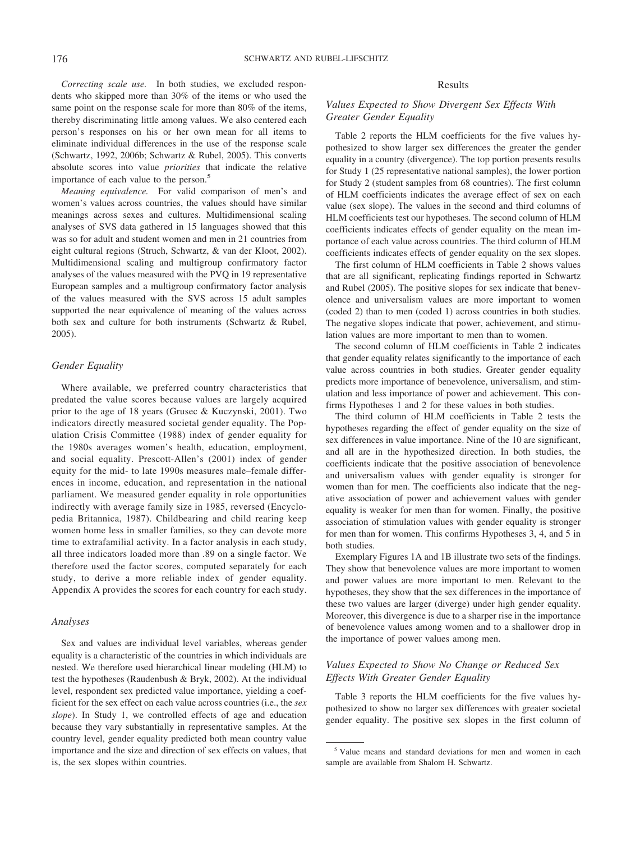*Correcting scale use.* In both studies, we excluded respondents who skipped more than 30% of the items or who used the same point on the response scale for more than 80% of the items, thereby discriminating little among values. We also centered each person's responses on his or her own mean for all items to eliminate individual differences in the use of the response scale (Schwartz, 1992, 2006b; Schwartz & Rubel, 2005). This converts absolute scores into value *priorities* that indicate the relative importance of each value to the person.<sup>5</sup>

*Meaning equivalence.* For valid comparison of men's and women's values across countries, the values should have similar meanings across sexes and cultures. Multidimensional scaling analyses of SVS data gathered in 15 languages showed that this was so for adult and student women and men in 21 countries from eight cultural regions (Struch, Schwartz, & van der Kloot, 2002). Multidimensional scaling and multigroup confirmatory factor analyses of the values measured with the PVQ in 19 representative European samples and a multigroup confirmatory factor analysis of the values measured with the SVS across 15 adult samples supported the near equivalence of meaning of the values across both sex and culture for both instruments (Schwartz & Rubel, 2005).

#### *Gender Equality*

Where available, we preferred country characteristics that predated the value scores because values are largely acquired prior to the age of 18 years (Grusec & Kuczynski, 2001). Two indicators directly measured societal gender equality. The Population Crisis Committee (1988) index of gender equality for the 1980s averages women's health, education, employment, and social equality. Prescott-Allen's (2001) index of gender equity for the mid- to late 1990s measures male–female differences in income, education, and representation in the national parliament. We measured gender equality in role opportunities indirectly with average family size in 1985, reversed (Encyclopedia Britannica, 1987). Childbearing and child rearing keep women home less in smaller families, so they can devote more time to extrafamilial activity. In a factor analysis in each study, all three indicators loaded more than .89 on a single factor. We therefore used the factor scores, computed separately for each study, to derive a more reliable index of gender equality. Appendix A provides the scores for each country for each study.

#### *Analyses*

Sex and values are individual level variables, whereas gender equality is a characteristic of the countries in which individuals are nested. We therefore used hierarchical linear modeling (HLM) to test the hypotheses (Raudenbush & Bryk, 2002). At the individual level, respondent sex predicted value importance, yielding a coefficient for the sex effect on each value across countries (i.e., the *sex slope*). In Study 1, we controlled effects of age and education because they vary substantially in representative samples. At the country level, gender equality predicted both mean country value importance and the size and direction of sex effects on values, that is, the sex slopes within countries.

### Results

### *Values Expected to Show Divergent Sex Effects With Greater Gender Equality*

Table 2 reports the HLM coefficients for the five values hypothesized to show larger sex differences the greater the gender equality in a country (divergence). The top portion presents results for Study 1 (25 representative national samples), the lower portion for Study 2 (student samples from 68 countries). The first column of HLM coefficients indicates the average effect of sex on each value (sex slope). The values in the second and third columns of HLM coefficients test our hypotheses. The second column of HLM coefficients indicates effects of gender equality on the mean importance of each value across countries. The third column of HLM coefficients indicates effects of gender equality on the sex slopes.

The first column of HLM coefficients in Table 2 shows values that are all significant, replicating findings reported in Schwartz and Rubel (2005). The positive slopes for sex indicate that benevolence and universalism values are more important to women (coded 2) than to men (coded 1) across countries in both studies. The negative slopes indicate that power, achievement, and stimulation values are more important to men than to women.

The second column of HLM coefficients in Table 2 indicates that gender equality relates significantly to the importance of each value across countries in both studies. Greater gender equality predicts more importance of benevolence, universalism, and stimulation and less importance of power and achievement. This confirms Hypotheses 1 and 2 for these values in both studies.

The third column of HLM coefficients in Table 2 tests the hypotheses regarding the effect of gender equality on the size of sex differences in value importance. Nine of the 10 are significant, and all are in the hypothesized direction. In both studies, the coefficients indicate that the positive association of benevolence and universalism values with gender equality is stronger for women than for men. The coefficients also indicate that the negative association of power and achievement values with gender equality is weaker for men than for women. Finally, the positive association of stimulation values with gender equality is stronger for men than for women. This confirms Hypotheses 3, 4, and 5 in both studies.

Exemplary Figures 1A and 1B illustrate two sets of the findings. They show that benevolence values are more important to women and power values are more important to men. Relevant to the hypotheses, they show that the sex differences in the importance of these two values are larger (diverge) under high gender equality. Moreover, this divergence is due to a sharper rise in the importance of benevolence values among women and to a shallower drop in the importance of power values among men.

### *Values Expected to Show No Change or Reduced Sex Effects With Greater Gender Equality*

Table 3 reports the HLM coefficients for the five values hypothesized to show no larger sex differences with greater societal gender equality. The positive sex slopes in the first column of

<sup>5</sup> Value means and standard deviations for men and women in each sample are available from Shalom H. Schwartz.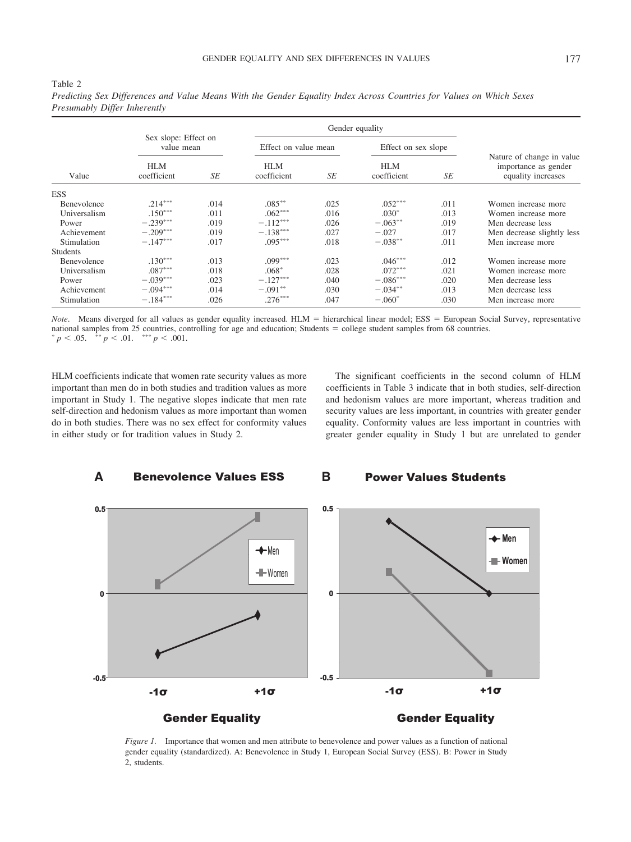|                                    |                           |      |                           | Gender equality |                           |      |                                                                         |  |
|------------------------------------|---------------------------|------|---------------------------|-----------------|---------------------------|------|-------------------------------------------------------------------------|--|
| Sex slope: Effect on<br>value mean |                           |      | Effect on value mean      |                 | Effect on sex slope       |      |                                                                         |  |
| Value                              | <b>HLM</b><br>coefficient | SE   | <b>HLM</b><br>coefficient | <b>SE</b>       | <b>HLM</b><br>coefficient | SE   | Nature of change in value<br>importance as gender<br>equality increases |  |
| <b>ESS</b>                         |                           |      |                           |                 |                           |      |                                                                         |  |
| Benevolence                        | $.214***$                 | .014 | $.085***$                 | .025            | $.052***$                 | .011 | Women increase more                                                     |  |
| Universalism                       | $.150***$                 | .011 | $.062***$                 | .016            | $.030*$                   | .013 | Women increase more                                                     |  |
| Power                              | $-.239***$                | .019 | $-.112***$                | .026            | $-.063**$                 | .019 | Men decrease less                                                       |  |
| Achievement                        | $-.209***$                | .019 | $-.138***$                | .027            | $-.027$                   | .017 | Men decrease slightly less                                              |  |
| Stimulation                        | $-.147***$                | .017 | $.095***$                 | .018            | $-.038**$                 | .011 | Men increase more                                                       |  |
| <b>Students</b>                    |                           |      |                           |                 |                           |      |                                                                         |  |
| Benevolence                        | $.130***$                 | .013 | $.099***$                 | .023            | $.046***$                 | .012 | Women increase more                                                     |  |
| Universalism                       | $.087***$                 | .018 | $.068*$                   | .028            | $.072***$                 | .021 | Women increase more                                                     |  |
| Power                              | $-.039***$                | .023 | $-.127***$                | .040            | $-.086***$                | .020 | Men decrease less                                                       |  |
| Achievement                        | $-.094***$                | .014 | $-.091**$                 | .030            | $-.034**$                 | .013 | Men decrease less                                                       |  |
| Stimulation                        | $-.184***$                | .026 | $.276***$                 | .047            | $-.060*$                  | .030 | Men increase more                                                       |  |
|                                    |                           |      |                           |                 |                           |      |                                                                         |  |

*Predicting Sex Differences and Value Means With the Gender Equality Index Across Countries for Values on Which Sexes Presumably Differ Inherently*

Note. Means diverged for all values as gender equality increased. HLM = hierarchical linear model; ESS = European Social Survey, representative national samples from 25 countries, controlling for age and education; Students = college student samples from 68 countries.<br> *p* < .05.  $\binom{**}{p}$  < .01.  $\binom{***}{p}$  < .001.

HLM coefficients indicate that women rate security values as more important than men do in both studies and tradition values as more important in Study 1. The negative slopes indicate that men rate self-direction and hedonism values as more important than women do in both studies. There was no sex effect for conformity values in either study or for tradition values in Study 2.

Table 2

The significant coefficients in the second column of HLM coefficients in Table 3 indicate that in both studies, self-direction and hedonism values are more important, whereas tradition and security values are less important, in countries with greater gender equality. Conformity values are less important in countries with greater gender equality in Study 1 but are unrelated to gender



*Figure 1.* Importance that women and men attribute to benevolence and power values as a function of national gender equality (standardized). A: Benevolence in Study 1, European Social Survey (ESS). B: Power in Study 2, students.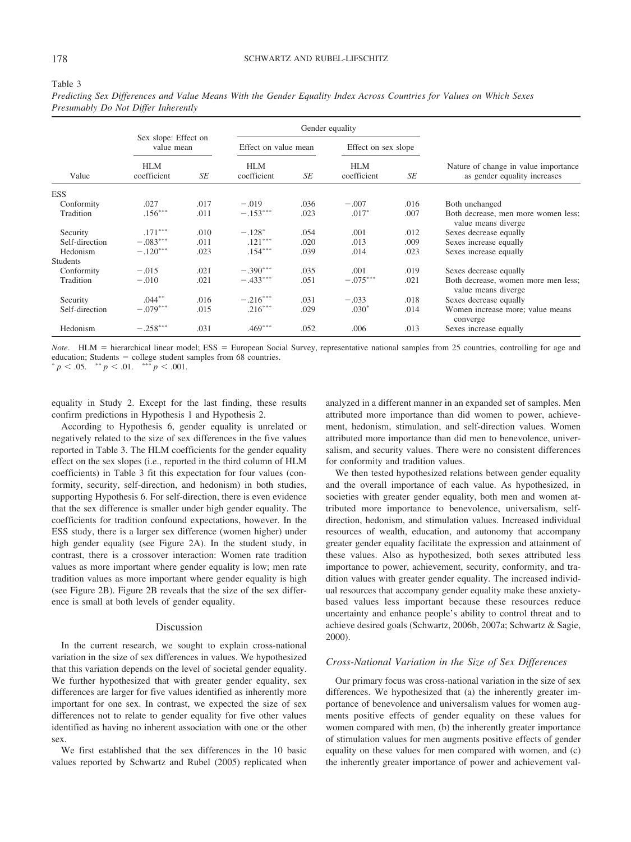|                                                                          |            |           | Gender equality           |                      |                           |      |                                                                      |  |
|--------------------------------------------------------------------------|------------|-----------|---------------------------|----------------------|---------------------------|------|----------------------------------------------------------------------|--|
| Sex slope: Effect on<br>value mean<br><b>HLM</b><br>coefficient<br>Value |            |           | Effect on value mean      |                      | Effect on sex slope       |      |                                                                      |  |
|                                                                          |            | <b>SE</b> | <b>HLM</b><br>coefficient | <b>SE</b>            | <b>HLM</b><br>coefficient | SE   | Nature of change in value importance<br>as gender equality increases |  |
| <b>ESS</b>                                                               |            |           |                           |                      |                           |      |                                                                      |  |
| Conformity                                                               | .027       | .017      | $-.019$                   | .036                 | $-.007$                   | .016 | Both unchanged                                                       |  |
| Tradition                                                                | $.156***$  | .011      | $-.153***$                | .023                 | $.017*$                   | .007 | Both decrease, men more women less;<br>value means diverge.          |  |
| Security                                                                 | $.171***$  | .010      | $-.128*$                  | .054                 | .001                      | .012 | Sexes decrease equally                                               |  |
| Self-direction                                                           | $-.083***$ | .011      | $.121***$                 | .020                 | .013                      | .009 | Sexes increase equally                                               |  |
| Hedonism                                                                 | $-.120***$ | .023      | $.154***$                 | .039<br>.014<br>.023 |                           |      | Sexes increase equally                                               |  |
| <b>Students</b>                                                          |            |           |                           |                      |                           |      |                                                                      |  |
| Conformity                                                               | $-.015$    | .021      | $-.390***$                | .035                 | .001                      | .019 | Sexes decrease equally                                               |  |
| Tradition                                                                | $-.010$    | .021      | $-.433***$                | .051                 | $-.075***$                | .021 | Both decrease, women more men less;<br>value means diverge           |  |
| Security                                                                 | $.044***$  | .016      | $-.216***$                | .031                 | $-.033$                   | .018 | Sexes decrease equally                                               |  |
| Self-direction                                                           | $-.079***$ | .015      | $.216***$                 | .029                 | $.030*$                   | .014 | Women increase more; value means<br>converge                         |  |
| Hedonism                                                                 | $-.258***$ | .031      | $.469***$                 | .052                 | .006                      | .013 | Sexes increase equally                                               |  |

*Predicting Sex Differences and Value Means With the Gender Equality Index Across Countries for Values on Which Sexes Presumably Do Not Differ Inherently*

Note. HLM = hierarchical linear model; ESS = European Social Survey, representative national samples from 25 countries, controlling for age and education; Students = college student samples from 68 countries.<br> *p* < .05.  $\binom{**}{p}$  < .01.  $\binom{***}{p}$  < .001.

equality in Study 2. Except for the last finding, these results confirm predictions in Hypothesis 1 and Hypothesis 2.

According to Hypothesis 6, gender equality is unrelated or negatively related to the size of sex differences in the five values reported in Table 3. The HLM coefficients for the gender equality effect on the sex slopes (i.e., reported in the third column of HLM coefficients) in Table 3 fit this expectation for four values (conformity, security, self-direction, and hedonism) in both studies, supporting Hypothesis 6. For self-direction, there is even evidence that the sex difference is smaller under high gender equality. The coefficients for tradition confound expectations, however. In the ESS study, there is a larger sex difference (women higher) under high gender equality (see Figure 2A). In the student study, in contrast, there is a crossover interaction: Women rate tradition values as more important where gender equality is low; men rate tradition values as more important where gender equality is high (see Figure 2B). Figure 2B reveals that the size of the sex difference is small at both levels of gender equality.

#### Discussion

In the current research, we sought to explain cross-national variation in the size of sex differences in values. We hypothesized that this variation depends on the level of societal gender equality. We further hypothesized that with greater gender equality, sex differences are larger for five values identified as inherently more important for one sex. In contrast, we expected the size of sex differences not to relate to gender equality for five other values identified as having no inherent association with one or the other sex.

We first established that the sex differences in the 10 basic values reported by Schwartz and Rubel (2005) replicated when analyzed in a different manner in an expanded set of samples. Men attributed more importance than did women to power, achievement, hedonism, stimulation, and self-direction values. Women attributed more importance than did men to benevolence, universalism, and security values. There were no consistent differences for conformity and tradition values.

We then tested hypothesized relations between gender equality and the overall importance of each value. As hypothesized, in societies with greater gender equality, both men and women attributed more importance to benevolence, universalism, selfdirection, hedonism, and stimulation values. Increased individual resources of wealth, education, and autonomy that accompany greater gender equality facilitate the expression and attainment of these values. Also as hypothesized, both sexes attributed less importance to power, achievement, security, conformity, and tradition values with greater gender equality. The increased individual resources that accompany gender equality make these anxietybased values less important because these resources reduce uncertainty and enhance people's ability to control threat and to achieve desired goals (Schwartz, 2006b, 2007a; Schwartz & Sagie, 2000).

#### *Cross-National Variation in the Size of Sex Differences*

Our primary focus was cross-national variation in the size of sex differences. We hypothesized that (a) the inherently greater importance of benevolence and universalism values for women augments positive effects of gender equality on these values for women compared with men, (b) the inherently greater importance of stimulation values for men augments positive effects of gender equality on these values for men compared with women, and (c) the inherently greater importance of power and achievement val-

Table 3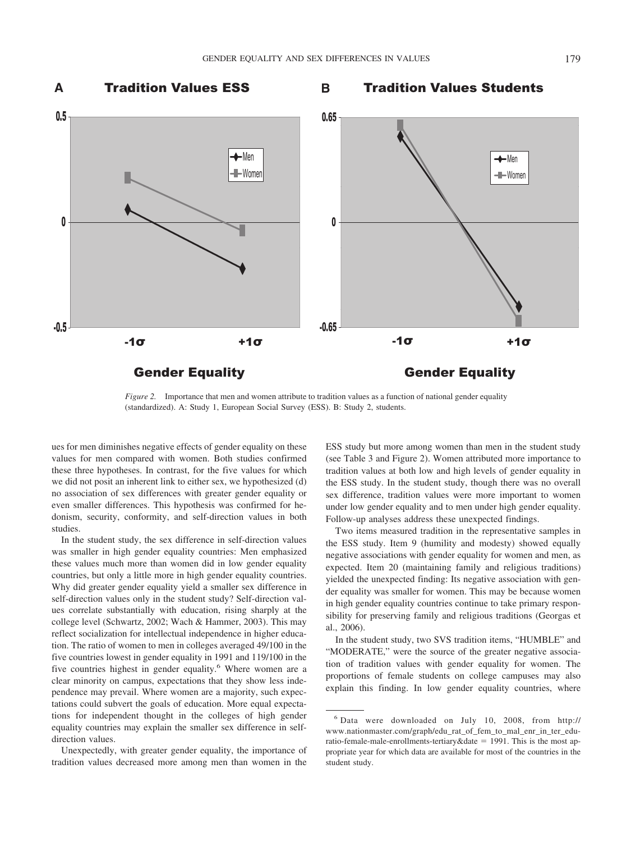

*Figure 2.* Importance that men and women attribute to tradition values as a function of national gender equality (standardized). A: Study 1, European Social Survey (ESS). B: Study 2, students.

ues for men diminishes negative effects of gender equality on these values for men compared with women. Both studies confirmed these three hypotheses. In contrast, for the five values for which we did not posit an inherent link to either sex, we hypothesized (d) no association of sex differences with greater gender equality or even smaller differences. This hypothesis was confirmed for hedonism, security, conformity, and self-direction values in both studies.

In the student study, the sex difference in self-direction values was smaller in high gender equality countries: Men emphasized these values much more than women did in low gender equality countries, but only a little more in high gender equality countries. Why did greater gender equality yield a smaller sex difference in self-direction values only in the student study? Self-direction values correlate substantially with education, rising sharply at the college level (Schwartz, 2002; Wach & Hammer, 2003). This may reflect socialization for intellectual independence in higher education. The ratio of women to men in colleges averaged 49/100 in the five countries lowest in gender equality in 1991 and 119/100 in the five countries highest in gender equality.<sup>6</sup> Where women are a clear minority on campus, expectations that they show less independence may prevail. Where women are a majority, such expectations could subvert the goals of education. More equal expectations for independent thought in the colleges of high gender equality countries may explain the smaller sex difference in selfdirection values.

Unexpectedly, with greater gender equality, the importance of tradition values decreased more among men than women in the

ESS study but more among women than men in the student study (see Table 3 and Figure 2). Women attributed more importance to tradition values at both low and high levels of gender equality in the ESS study. In the student study, though there was no overall sex difference, tradition values were more important to women under low gender equality and to men under high gender equality. Follow-up analyses address these unexpected findings.

Two items measured tradition in the representative samples in the ESS study. Item 9 (humility and modesty) showed equally negative associations with gender equality for women and men, as expected. Item 20 (maintaining family and religious traditions) yielded the unexpected finding: Its negative association with gender equality was smaller for women. This may be because women in high gender equality countries continue to take primary responsibility for preserving family and religious traditions (Georgas et al., 2006).

In the student study, two SVS tradition items, "HUMBLE" and "MODERATE," were the source of the greater negative association of tradition values with gender equality for women. The proportions of female students on college campuses may also explain this finding. In low gender equality countries, where

<sup>6</sup> Data were downloaded on July 10, 2008, from http:// www.nationmaster.com/graph/edu\_rat\_of\_fem\_to\_mal\_enr\_in\_ter\_eduratio-female-male-enrollments-tertiary&date = 1991. This is the most appropriate year for which data are available for most of the countries in the student study.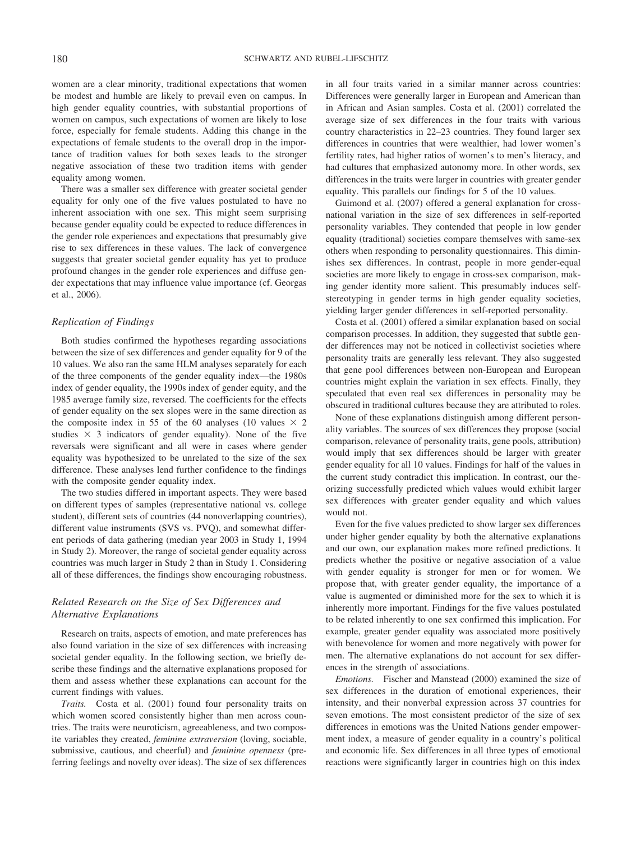women are a clear minority, traditional expectations that women be modest and humble are likely to prevail even on campus. In high gender equality countries, with substantial proportions of women on campus, such expectations of women are likely to lose force, especially for female students. Adding this change in the expectations of female students to the overall drop in the importance of tradition values for both sexes leads to the stronger negative association of these two tradition items with gender equality among women.

There was a smaller sex difference with greater societal gender equality for only one of the five values postulated to have no inherent association with one sex. This might seem surprising because gender equality could be expected to reduce differences in the gender role experiences and expectations that presumably give rise to sex differences in these values. The lack of convergence suggests that greater societal gender equality has yet to produce profound changes in the gender role experiences and diffuse gender expectations that may influence value importance (cf. Georgas et al., 2006).

### *Replication of Findings*

Both studies confirmed the hypotheses regarding associations between the size of sex differences and gender equality for 9 of the 10 values. We also ran the same HLM analyses separately for each of the three components of the gender equality index—the 1980s index of gender equality, the 1990s index of gender equity, and the 1985 average family size, reversed. The coefficients for the effects of gender equality on the sex slopes were in the same direction as the composite index in 55 of the 60 analyses (10 values  $\times$  2 studies  $\times$  3 indicators of gender equality). None of the five reversals were significant and all were in cases where gender equality was hypothesized to be unrelated to the size of the sex difference. These analyses lend further confidence to the findings with the composite gender equality index.

The two studies differed in important aspects. They were based on different types of samples (representative national vs. college student), different sets of countries (44 nonoverlapping countries), different value instruments (SVS vs. PVQ), and somewhat different periods of data gathering (median year 2003 in Study 1, 1994 in Study 2). Moreover, the range of societal gender equality across countries was much larger in Study 2 than in Study 1. Considering all of these differences, the findings show encouraging robustness.

### *Related Research on the Size of Sex Differences and Alternative Explanations*

Research on traits, aspects of emotion, and mate preferences has also found variation in the size of sex differences with increasing societal gender equality. In the following section, we briefly describe these findings and the alternative explanations proposed for them and assess whether these explanations can account for the current findings with values.

*Traits.* Costa et al. (2001) found four personality traits on which women scored consistently higher than men across countries. The traits were neuroticism, agreeableness, and two composite variables they created, *feminine extraversion* (loving, sociable, submissive, cautious, and cheerful) and *feminine openness* (preferring feelings and novelty over ideas). The size of sex differences in all four traits varied in a similar manner across countries: Differences were generally larger in European and American than in African and Asian samples. Costa et al. (2001) correlated the average size of sex differences in the four traits with various country characteristics in 22–23 countries. They found larger sex differences in countries that were wealthier, had lower women's fertility rates, had higher ratios of women's to men's literacy, and had cultures that emphasized autonomy more. In other words, sex differences in the traits were larger in countries with greater gender equality. This parallels our findings for 5 of the 10 values.

Guimond et al. (2007) offered a general explanation for crossnational variation in the size of sex differences in self-reported personality variables. They contended that people in low gender equality (traditional) societies compare themselves with same-sex others when responding to personality questionnaires. This diminishes sex differences. In contrast, people in more gender-equal societies are more likely to engage in cross-sex comparison, making gender identity more salient. This presumably induces selfstereotyping in gender terms in high gender equality societies, yielding larger gender differences in self-reported personality.

Costa et al. (2001) offered a similar explanation based on social comparison processes. In addition, they suggested that subtle gender differences may not be noticed in collectivist societies where personality traits are generally less relevant. They also suggested that gene pool differences between non-European and European countries might explain the variation in sex effects. Finally, they speculated that even real sex differences in personality may be obscured in traditional cultures because they are attributed to roles.

None of these explanations distinguish among different personality variables. The sources of sex differences they propose (social comparison, relevance of personality traits, gene pools, attribution) would imply that sex differences should be larger with greater gender equality for all 10 values. Findings for half of the values in the current study contradict this implication. In contrast, our theorizing successfully predicted which values would exhibit larger sex differences with greater gender equality and which values would not.

Even for the five values predicted to show larger sex differences under higher gender equality by both the alternative explanations and our own, our explanation makes more refined predictions. It predicts whether the positive or negative association of a value with gender equality is stronger for men or for women. We propose that, with greater gender equality, the importance of a value is augmented or diminished more for the sex to which it is inherently more important. Findings for the five values postulated to be related inherently to one sex confirmed this implication. For example, greater gender equality was associated more positively with benevolence for women and more negatively with power for men. The alternative explanations do not account for sex differences in the strength of associations.

*Emotions.* Fischer and Manstead (2000) examined the size of sex differences in the duration of emotional experiences, their intensity, and their nonverbal expression across 37 countries for seven emotions. The most consistent predictor of the size of sex differences in emotions was the United Nations gender empowerment index, a measure of gender equality in a country's political and economic life. Sex differences in all three types of emotional reactions were significantly larger in countries high on this index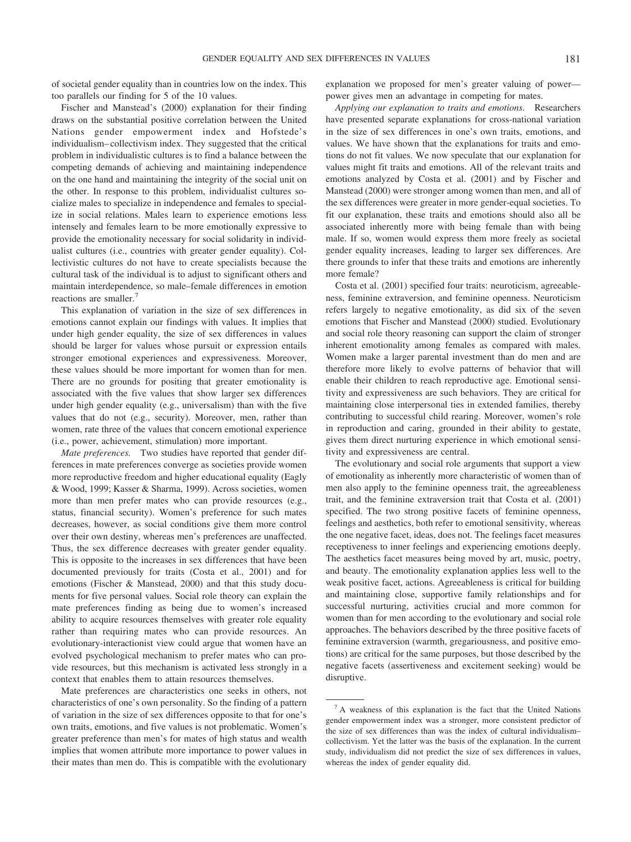of societal gender equality than in countries low on the index. This too parallels our finding for 5 of the 10 values.

Fischer and Manstead's (2000) explanation for their finding draws on the substantial positive correlation between the United Nations gender empowerment index and Hofstede's individualism–collectivism index. They suggested that the critical problem in individualistic cultures is to find a balance between the competing demands of achieving and maintaining independence on the one hand and maintaining the integrity of the social unit on the other. In response to this problem, individualist cultures socialize males to specialize in independence and females to specialize in social relations. Males learn to experience emotions less intensely and females learn to be more emotionally expressive to provide the emotionality necessary for social solidarity in individualist cultures (i.e., countries with greater gender equality). Collectivistic cultures do not have to create specialists because the cultural task of the individual is to adjust to significant others and maintain interdependence, so male–female differences in emotion reactions are smaller.7

This explanation of variation in the size of sex differences in emotions cannot explain our findings with values. It implies that under high gender equality, the size of sex differences in values should be larger for values whose pursuit or expression entails stronger emotional experiences and expressiveness. Moreover, these values should be more important for women than for men. There are no grounds for positing that greater emotionality is associated with the five values that show larger sex differences under high gender equality (e.g., universalism) than with the five values that do not (e.g., security). Moreover, men, rather than women, rate three of the values that concern emotional experience (i.e., power, achievement, stimulation) more important.

*Mate preferences.* Two studies have reported that gender differences in mate preferences converge as societies provide women more reproductive freedom and higher educational equality (Eagly & Wood, 1999; Kasser & Sharma, 1999). Across societies, women more than men prefer mates who can provide resources (e.g., status, financial security). Women's preference for such mates decreases, however, as social conditions give them more control over their own destiny, whereas men's preferences are unaffected. Thus, the sex difference decreases with greater gender equality. This is opposite to the increases in sex differences that have been documented previously for traits (Costa et al., 2001) and for emotions (Fischer & Manstead, 2000) and that this study documents for five personal values. Social role theory can explain the mate preferences finding as being due to women's increased ability to acquire resources themselves with greater role equality rather than requiring mates who can provide resources. An evolutionary-interactionist view could argue that women have an evolved psychological mechanism to prefer mates who can provide resources, but this mechanism is activated less strongly in a context that enables them to attain resources themselves.

Mate preferences are characteristics one seeks in others, not characteristics of one's own personality. So the finding of a pattern of variation in the size of sex differences opposite to that for one's own traits, emotions, and five values is not problematic. Women's greater preference than men's for mates of high status and wealth implies that women attribute more importance to power values in their mates than men do. This is compatible with the evolutionary

explanation we proposed for men's greater valuing of power power gives men an advantage in competing for mates.

*Applying our explanation to traits and emotions.* Researchers have presented separate explanations for cross-national variation in the size of sex differences in one's own traits, emotions, and values. We have shown that the explanations for traits and emotions do not fit values. We now speculate that our explanation for values might fit traits and emotions. All of the relevant traits and emotions analyzed by Costa et al. (2001) and by Fischer and Manstead (2000) were stronger among women than men, and all of the sex differences were greater in more gender-equal societies. To fit our explanation, these traits and emotions should also all be associated inherently more with being female than with being male. If so, women would express them more freely as societal gender equality increases, leading to larger sex differences. Are there grounds to infer that these traits and emotions are inherently more female?

Costa et al. (2001) specified four traits: neuroticism, agreeableness, feminine extraversion, and feminine openness. Neuroticism refers largely to negative emotionality, as did six of the seven emotions that Fischer and Manstead (2000) studied. Evolutionary and social role theory reasoning can support the claim of stronger inherent emotionality among females as compared with males. Women make a larger parental investment than do men and are therefore more likely to evolve patterns of behavior that will enable their children to reach reproductive age. Emotional sensitivity and expressiveness are such behaviors. They are critical for maintaining close interpersonal ties in extended families, thereby contributing to successful child rearing. Moreover, women's role in reproduction and caring, grounded in their ability to gestate, gives them direct nurturing experience in which emotional sensitivity and expressiveness are central.

The evolutionary and social role arguments that support a view of emotionality as inherently more characteristic of women than of men also apply to the feminine openness trait, the agreeableness trait, and the feminine extraversion trait that Costa et al. (2001) specified. The two strong positive facets of feminine openness, feelings and aesthetics, both refer to emotional sensitivity, whereas the one negative facet, ideas, does not. The feelings facet measures receptiveness to inner feelings and experiencing emotions deeply. The aesthetics facet measures being moved by art, music, poetry, and beauty. The emotionality explanation applies less well to the weak positive facet, actions. Agreeableness is critical for building and maintaining close, supportive family relationships and for successful nurturing, activities crucial and more common for women than for men according to the evolutionary and social role approaches. The behaviors described by the three positive facets of feminine extraversion (warmth, gregariousness, and positive emotions) are critical for the same purposes, but those described by the negative facets (assertiveness and excitement seeking) would be disruptive.

<sup>7</sup> A weakness of this explanation is the fact that the United Nations gender empowerment index was a stronger, more consistent predictor of the size of sex differences than was the index of cultural individualism– collectivism. Yet the latter was the basis of the explanation. In the current study, individualism did not predict the size of sex differences in values, whereas the index of gender equality did.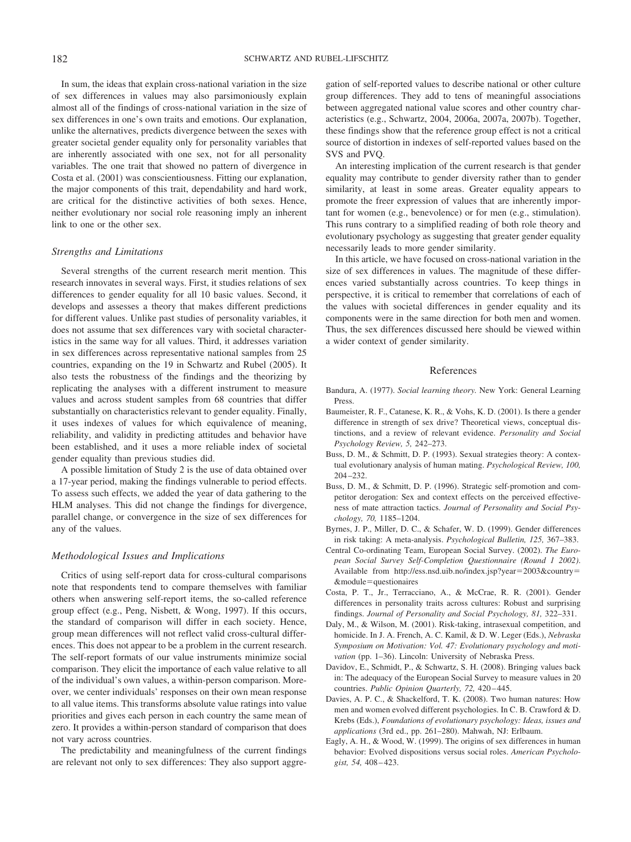In sum, the ideas that explain cross-national variation in the size of sex differences in values may also parsimoniously explain almost all of the findings of cross-national variation in the size of sex differences in one's own traits and emotions. Our explanation, unlike the alternatives, predicts divergence between the sexes with greater societal gender equality only for personality variables that are inherently associated with one sex, not for all personality variables. The one trait that showed no pattern of divergence in Costa et al. (2001) was conscientiousness. Fitting our explanation, the major components of this trait, dependability and hard work, are critical for the distinctive activities of both sexes. Hence, neither evolutionary nor social role reasoning imply an inherent link to one or the other sex.

#### *Strengths and Limitations*

Several strengths of the current research merit mention. This research innovates in several ways. First, it studies relations of sex differences to gender equality for all 10 basic values. Second, it develops and assesses a theory that makes different predictions for different values. Unlike past studies of personality variables, it does not assume that sex differences vary with societal characteristics in the same way for all values. Third, it addresses variation in sex differences across representative national samples from 25 countries, expanding on the 19 in Schwartz and Rubel (2005). It also tests the robustness of the findings and the theorizing by replicating the analyses with a different instrument to measure values and across student samples from 68 countries that differ substantially on characteristics relevant to gender equality. Finally, it uses indexes of values for which equivalence of meaning, reliability, and validity in predicting attitudes and behavior have been established, and it uses a more reliable index of societal gender equality than previous studies did.

A possible limitation of Study 2 is the use of data obtained over a 17-year period, making the findings vulnerable to period effects. To assess such effects, we added the year of data gathering to the HLM analyses. This did not change the findings for divergence, parallel change, or convergence in the size of sex differences for any of the values.

### *Methodological Issues and Implications*

Critics of using self-report data for cross-cultural comparisons note that respondents tend to compare themselves with familiar others when answering self-report items, the so-called reference group effect (e.g., Peng, Nisbett, & Wong, 1997). If this occurs, the standard of comparison will differ in each society. Hence, group mean differences will not reflect valid cross-cultural differences. This does not appear to be a problem in the current research. The self-report formats of our value instruments minimize social comparison. They elicit the importance of each value relative to all of the individual's own values, a within-person comparison. Moreover, we center individuals' responses on their own mean response to all value items. This transforms absolute value ratings into value priorities and gives each person in each country the same mean of zero. It provides a within-person standard of comparison that does not vary across countries.

The predictability and meaningfulness of the current findings are relevant not only to sex differences: They also support aggregation of self-reported values to describe national or other culture group differences. They add to tens of meaningful associations between aggregated national value scores and other country characteristics (e.g., Schwartz, 2004, 2006a, 2007a, 2007b). Together, these findings show that the reference group effect is not a critical source of distortion in indexes of self-reported values based on the SVS and PVQ.

An interesting implication of the current research is that gender equality may contribute to gender diversity rather than to gender similarity, at least in some areas. Greater equality appears to promote the freer expression of values that are inherently important for women (e.g., benevolence) or for men (e.g., stimulation). This runs contrary to a simplified reading of both role theory and evolutionary psychology as suggesting that greater gender equality necessarily leads to more gender similarity.

In this article, we have focused on cross-national variation in the size of sex differences in values. The magnitude of these differences varied substantially across countries. To keep things in perspective, it is critical to remember that correlations of each of the values with societal differences in gender equality and its components were in the same direction for both men and women. Thus, the sex differences discussed here should be viewed within a wider context of gender similarity.

#### References

- Bandura, A. (1977). *Social learning theory.* New York: General Learning Press.
- Baumeister, R. F., Catanese, K. R., & Vohs, K. D. (2001). Is there a gender difference in strength of sex drive? Theoretical views, conceptual distinctions, and a review of relevant evidence. *Personality and Social Psychology Review, 5,* 242–273.
- Buss, D. M., & Schmitt, D. P. (1993). Sexual strategies theory: A contextual evolutionary analysis of human mating. *Psychological Review, 100,* 204–232.
- Buss, D. M., & Schmitt, D. P. (1996). Strategic self-promotion and competitor derogation: Sex and context effects on the perceived effectiveness of mate attraction tactics. *Journal of Personality and Social Psychology, 70,* 1185–1204.
- Byrnes, J. P., Miller, D. C., & Schafer, W. D. (1999). Gender differences in risk taking: A meta-analysis. *Psychological Bulletin, 125,* 367–383.
- Central Co-ordinating Team, European Social Survey. (2002). *The European Social Survey Self-Completion Questionnaire (Round 1 2002)*. Available from http://ess.nsd.uib.no/index.jsp?year=2003&country= &module-questionaires
- Costa, P. T., Jr., Terracciano, A., & McCrae, R. R. (2001). Gender differences in personality traits across cultures: Robust and surprising findings. *Journal of Personality and Social Psychology, 81,* 322–331.
- Daly, M., & Wilson, M. (2001). Risk-taking, intrasexual competition, and homicide. In J. A. French, A. C. Kamil, & D. W. Leger (Eds.), *Nebraska Symposium on Motivation: Vol. 47: Evolutionary psychology and motivation* (pp. 1–36). Lincoln: University of Nebraska Press.
- Davidov, E., Schmidt, P., & Schwartz, S. H. (2008). Bringing values back in: The adequacy of the European Social Survey to measure values in 20 countries. *Public Opinion Quarterly, 72,* 420–445.
- Davies, A. P. C., & Shackelford, T. K. (2008). Two human natures: How men and women evolved different psychologies. In C. B. Crawford & D. Krebs (Eds.), *Foundations of evolutionary psychology: Ideas, issues and applications* (3rd ed., pp. 261–280). Mahwah, NJ: Erlbaum.
- Eagly, A. H., & Wood, W. (1999). The origins of sex differences in human behavior: Evolved dispositions versus social roles. *American Psychologist, 54,* 408–423.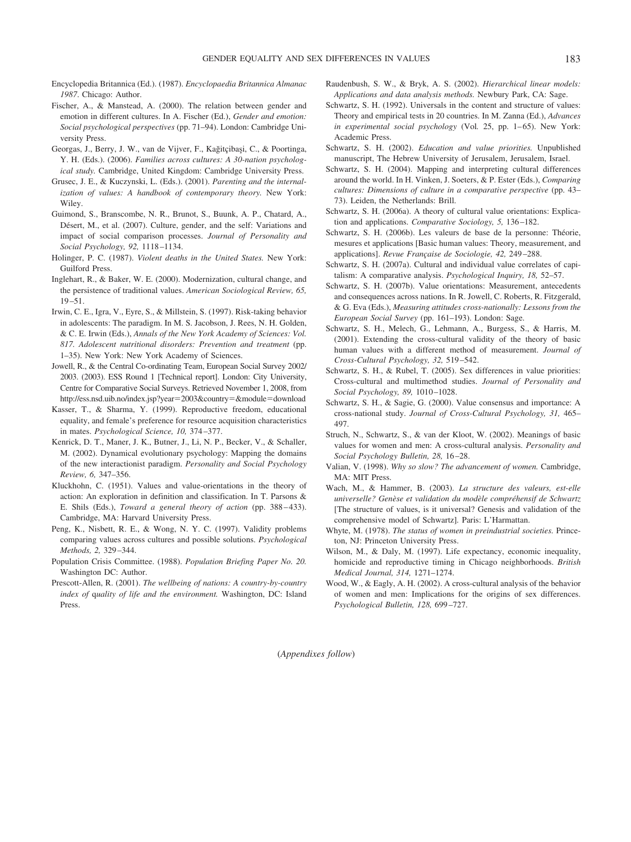- Encyclopedia Britannica (Ed.). (1987). *Encyclopaedia Britannica Almanac 1987*. Chicago: Author.
- Fischer, A., & Manstead, A. (2000). The relation between gender and emotion in different cultures. In A. Fischer (Ed.), *Gender and emotion: Social psychological perspectives* (pp. 71–94). London: Cambridge University Press.
- Georgas, J., Berry, J. W., van de Vijver, F., Kağitçibaşi, C., & Poortinga, Y. H. (Eds.). (2006). *Families across cultures: A 30-nation psychological study.* Cambridge, United Kingdom: Cambridge University Press.
- Grusec, J. E., & Kuczynski, L. (Eds.). (2001). *Parenting and the internalization of values: A handbook of contemporary theory.* New York: Wiley.
- Guimond, S., Branscombe, N. R., Brunot, S., Buunk, A. P., Chatard, A., Désert, M., et al. (2007). Culture, gender, and the self: Variations and impact of social comparison processes. *Journal of Personality and Social Psychology, 92,* 1118–1134.
- Holinger, P. C. (1987). *Violent deaths in the United States.* New York: Guilford Press.
- Inglehart, R., & Baker, W. E. (2000). Modernization, cultural change, and the persistence of traditional values. *American Sociological Review, 65,* 19–51.
- Irwin, C. E., Igra, V., Eyre, S., & Millstein, S. (1997). Risk-taking behavior in adolescents: The paradigm. In M. S. Jacobson, J. Rees, N. H. Golden, & C. E. Irwin (Eds.), *Annals of the New York Academy of Sciences: Vol. 817. Adolescent nutritional disorders: Prevention and treatment* (pp. 1–35). New York: New York Academy of Sciences.
- Jowell, R., & the Central Co-ordinating Team, European Social Survey 2002/ 2003. (2003). ESS Round 1 [Technical report]. London: City University, Centre for Comparative Social Surveys. Retrieved November 1, 2008, from http://ess.nsd.uib.no/index.jsp?year=2003&country=&module=download
- Kasser, T., & Sharma, Y. (1999). Reproductive freedom, educational equality, and female's preference for resource acquisition characteristics in mates. *Psychological Science, 10,* 374–377.
- Kenrick, D. T., Maner, J. K., Butner, J., Li, N. P., Becker, V., & Schaller, M. (2002). Dynamical evolutionary psychology: Mapping the domains of the new interactionist paradigm. *Personality and Social Psychology Review, 6,* 347–356.
- Kluckhohn, C. (1951). Values and value-orientations in the theory of action: An exploration in definition and classification. In T. Parsons & E. Shils (Eds.), *Toward a general theory of action* (pp. 388–433). Cambridge, MA: Harvard University Press.
- Peng, K., Nisbett, R. E., & Wong, N. Y. C. (1997). Validity problems comparing values across cultures and possible solutions. *Psychological Methods, 2,* 329–344.
- Population Crisis Committee. (1988). *Population Briefing Paper No. 20.* Washington DC: Author.
- Prescott-Allen, R. (2001). *The wellbeing of nations: A country-by-country index of* q*uality of life and the environment.* Washington, DC: Island Press.
- Raudenbush, S. W., & Bryk, A. S. (2002). *Hierarchical linear models: Applications and data analysis methods.* Newbury Park, CA: Sage.
- Schwartz, S. H. (1992). Universals in the content and structure of values: Theory and empirical tests in 20 countries. In M. Zanna (Ed.), *Advances in experimental social psychology* (Vol*.* 25, pp. 1–65). New York: Academic Press.
- Schwartz, S. H. (2002). *Education and value priorities.* Unpublished manuscript, The Hebrew University of Jerusalem, Jerusalem, Israel.
- Schwartz, S. H. (2004). Mapping and interpreting cultural differences around the world. In H. Vinken, J. Soeters, & P. Ester (Eds.), *Comparing cultures: Dimensions of culture in a comparative perspective* (pp. 43– 73). Leiden, the Netherlands: Brill.
- Schwartz, S. H. (2006a). A theory of cultural value orientations: Explication and applications. *Comparative Sociology, 5,* 136–182.
- Schwartz, S. H. (2006b). Les valeurs de base de la personne: Théorie, mesures et applications [Basic human values: Theory, measurement, and applications]. *Revue Française de Sociologie, 42, 249-288*.
- Schwartz, S. H. (2007a). Cultural and individual value correlates of capitalism: A comparative analysis. *Psychological Inquiry, 18,* 52–57.
- Schwartz, S. H. (2007b). Value orientations: Measurement, antecedents and consequences across nations. In R. Jowell, C. Roberts, R. Fitzgerald, & G. Eva (Eds.), *Measuring attitudes cross-nationally: Lessons from the European Social Survey* (pp. 161–193). London: Sage.
- Schwartz, S. H., Melech, G., Lehmann, A., Burgess, S., & Harris, M. (2001). Extending the cross-cultural validity of the theory of basic human values with a different method of measurement. *Journal of Cross-Cultural Psychology, 32,* 519–542.
- Schwartz, S. H., & Rubel, T. (2005). Sex differences in value priorities: Cross-cultural and multimethod studies. *Journal of Personality and Social Psychology, 89,* 1010–1028.
- Schwartz, S. H., & Sagie, G. (2000). Value consensus and importance: A cross-national study. *Journal of Cross-Cultural Psychology, 31,* 465– 497.
- Struch, N., Schwartz, S., & van der Kloot, W. (2002). Meanings of basic values for women and men: A cross-cultural analysis. *Personality and Social Psychology Bulletin, 28,* 16–28.
- Valian, V. (1998). *Why so slow? The advancement of women.* Cambridge, MA: MIT Press.
- Wach, M., & Hammer, B. (2003). *La structure des valeurs, est-elle universelle? Gene`se et validation du mode`le compre´hensif de Schwartz* [The structure of values, is it universal? Genesis and validation of the comprehensive model of Schwartz]*.* Paris: L'Harmattan.
- Whyte, M. (1978). *The status of women in preindustrial societies.* Princeton, NJ: Princeton University Press.
- Wilson, M., & Daly, M. (1997). Life expectancy, economic inequality, homicide and reproductive timing in Chicago neighborhoods. *British Medical Journal, 314,* 1271–1274.
- Wood, W., & Eagly, A. H. (2002). A cross-cultural analysis of the behavior of women and men: Implications for the origins of sex differences. *Psychological Bulletin, 128,* 699–727.

(*Appendixes follow*)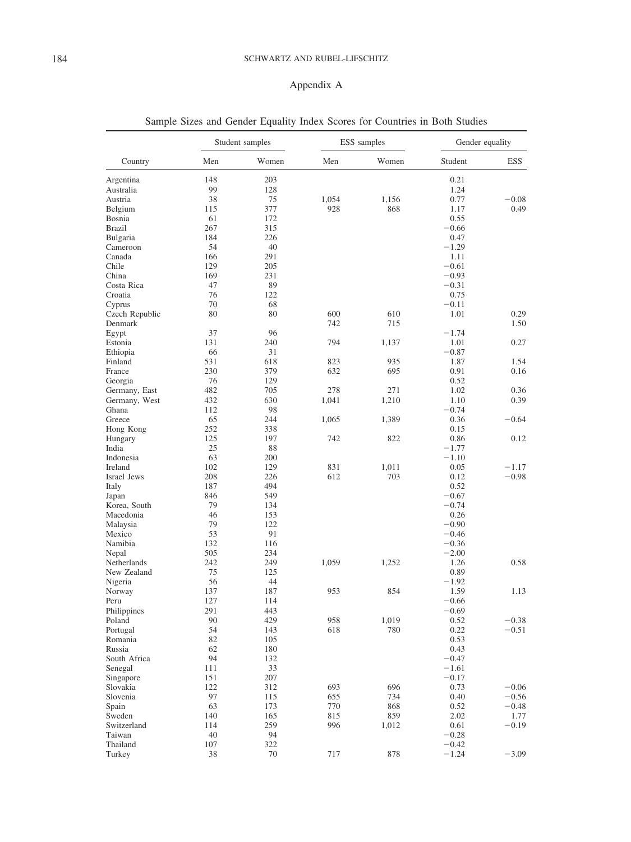## Appendix A

|                                |            | Student samples |              | ESS samples | Gender equality |            |
|--------------------------------|------------|-----------------|--------------|-------------|-----------------|------------|
| Country                        | Men        | Women           | Men          | Women       | Student         | <b>ESS</b> |
| Argentina                      | 148        | 203             |              |             | 0.21            |            |
| Australia                      | 99         | 128             |              |             | 1.24            |            |
| Austria                        | 38         | 75              | 1,054        | 1,156       | 0.77            | $-0.08$    |
| Belgium                        | 115        | 377             | 928          | 868         | 1.17            | 0.49       |
| Bosnia                         | 61         | 172             |              |             | 0.55            |            |
| Brazil                         | 267        | 315             |              |             | $-0.66$         |            |
| Bulgaria                       | 184        | 226             |              |             | 0.47            |            |
| Cameroon                       | 54         | 40              |              |             | $-1.29$         |            |
| Canada                         | 166        | 291             |              |             | 1.11            |            |
| Chile                          | 129        | 205             |              |             | $-0.61$         |            |
| China                          | 169        | 231             |              |             | $-0.93$         |            |
| Costa Rica                     | 47         | 89              |              |             | $-0.31$         |            |
| Croatia                        | 76         | 122             |              |             | 0.75            |            |
| Cyprus                         | 70         | 68              |              |             | $-0.11$         |            |
| Czech Republic                 | 80         | 80              | 600          | 610         | 1.01            | 0.29       |
| Denmark                        |            |                 | 742          | 715         |                 | 1.50       |
| Egypt                          | 37         | 96              |              |             | $-1.74$         |            |
| Estonia                        | 131        | 240             | 794          | 1,137       | 1.01            | 0.27       |
| Ethiopia                       | 66         | 31              |              |             | $-0.87$         |            |
| Finland                        | 531        | 618             | 823          | 935         | 1.87            | 1.54       |
| France                         | 230        | 379             | 632          | 695         | 0.91            | 0.16       |
| Georgia                        | 76         | 129             |              |             | 0.52            |            |
| Germany, East<br>Germany, West | 482        | 705<br>630      | 278<br>1,041 | 271         | 1.02            | 0.36       |
|                                | 432<br>112 | 98              |              | 1,210       | 1.10<br>$-0.74$ | 0.39       |
| Ghana<br>Greece                | 65         | 244             | 1,065        | 1,389       | 0.36            | $-0.64$    |
| Hong Kong                      | 252        | 338             |              |             | 0.15            |            |
| Hungary                        | 125        | 197             | 742          | 822         | 0.86            | 0.12       |
| India                          | 25         | 88              |              |             | $-1.77$         |            |
| Indonesia                      | 63         | 200             |              |             | $-1.10$         |            |
| Ireland                        | 102        | 129             | 831          | 1,011       | 0.05            | $-1.17$    |
| Israel Jews                    | 208        | 226             | 612          | 703         | 0.12            | $-0.98$    |
| Italy                          | 187        | 494             |              |             | 0.52            |            |
| Japan                          | 846        | 549             |              |             | $-0.67$         |            |
| Korea, South                   | 79         | 134             |              |             | $-0.74$         |            |
| Macedonia                      | 46         | 153             |              |             | 0.26            |            |
| Malaysia                       | 79         | 122             |              |             | $-0.90$         |            |
| Mexico                         | 53         | 91              |              |             | $-0.46$         |            |
| Namibia                        | 132        | 116             |              |             | $-0.36$         |            |
| Nepal                          | 505        | 234             |              |             | $-2.00$         |            |
| Netherlands                    | 242        | 249             | 1,059        | 1,252       | 1.26            | 0.58       |
| New Zealand                    | 75         | 125             |              |             | 0.89            |            |
| Nigeria                        | 56         | 44              |              |             | $-1.92$         |            |
| Norway                         | 137        | 187             | 953          | 854         | 1.59            | 1.13       |
| Peru                           | 127        | 114             |              |             | $-0.66$         |            |
| Philippines                    | 291        | 443             |              |             | $-0.69$         |            |
| Poland                         | 90         | 429             | 958          | 1,019       | 0.52            | $-0.38$    |
| Portugal                       | 54         | 143             | 618          | 780         | 0.22            | $-0.51$    |
| Romania                        | 82         | 105             |              |             | 0.53            |            |
| Russia                         | 62         | 180             |              |             | 0.43            |            |
| South Africa                   | 94         | 132             |              |             | $-0.47$         |            |
| Senegal                        | 111        | 33              |              |             | $-1.61$         |            |
| Singapore                      | 151        | 207             |              |             | $-0.17$         |            |
| Slovakia                       | 122        | 312             | 693          | 696         | 0.73            | $-0.06$    |
| Slovenia                       | 97         | 115             | 655          | 734         | 0.40            | $-0.56$    |
| Spain                          | 63         | 173             | 770          | 868         | 0.52            | $-0.48$    |
| Sweden                         | 140        | 165             | 815          | 859         | 2.02            | 1.77       |
| Switzerland                    | 114        | 259             | 996          | 1,012       | 0.61            | $-0.19$    |
| Taiwan                         | 40         | 94              |              |             | $-0.28$         |            |
| Thailand                       | 107        | 322             |              |             | $-0.42$         |            |
| Turkey                         | 38         | 70              | 717          | 878         | $-1.24$         | $-3.09$    |

Sample Sizes and Gender Equality Index Scores for Countries in Both Studies